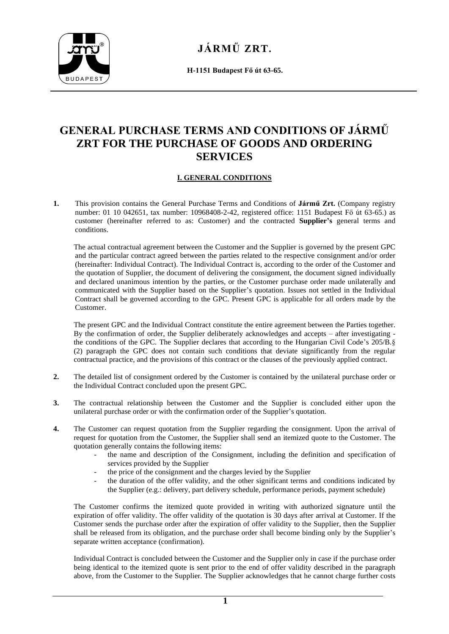

**H-1151 Budapest Fő út 63-65.**

# **GENERAL PURCHASE TERMS AND CONDITIONS OF JÁRMŰ ZRT FOR THE PURCHASE OF GOODS AND ORDERING SERVICES**

# **I. GENERAL CONDITIONS**

**1.** This provision contains the General Purchase Terms and Conditions of **Jármű Zrt.** (Company registry number: 01 10 042651, tax number: 10968408-2-42, registered office: 1151 Budapest Fő út 63-65.) as customer (hereinafter referred to as: Customer) and the contracted **Supplier's** general terms and conditions.

The actual contractual agreement between the Customer and the Supplier is governed by the present GPC and the particular contract agreed between the parties related to the respective consignment and/or order (hereinafter: Individual Contract). The Individual Contract is, according to the order of the Customer and the quotation of Supplier, the document of delivering the consignment, the document signed individually and declared unanimous intention by the parties, or the Customer purchase order made unilaterally and communicated with the Supplier based on the Supplier's quotation. Issues not settled in the Individual Contract shall be governed according to the GPC. Present GPC is applicable for all orders made by the Customer.

The present GPC and the Individual Contract constitute the entire agreement between the Parties together. By the confirmation of order, the Supplier deliberately acknowledges and accepts – after investigating the conditions of the GPC. The Supplier declares that according to the Hungarian Civil Code's 205/B.§ (2) paragraph the GPC does not contain such conditions that deviate significantly from the regular contractual practice, and the provisions of this contract or the clauses of the previously applied contract.

- **2.** The detailed list of consignment ordered by the Customer is contained by the unilateral purchase order or the Individual Contract concluded upon the present GPC.
- **3.** The contractual relationship between the Customer and the Supplier is concluded either upon the unilateral purchase order or with the confirmation order of the Supplier's quotation.
- **4.** The Customer can request quotation from the Supplier regarding the consignment. Upon the arrival of request for quotation from the Customer, the Supplier shall send an itemized quote to the Customer. The quotation generally contains the following items:
	- the name and description of the Consignment, including the definition and specification of services provided by the Supplier
	- the price of the consignment and the charges levied by the Supplier
	- the duration of the offer validity, and the other significant terms and conditions indicated by the Supplier (e.g.: delivery, part delivery schedule, performance periods, payment schedule)

The Customer confirms the itemized quote provided in writing with authorized signature until the expiration of offer validity. The offer validity of the quotation is 30 days after arrival at Customer. If the Customer sends the purchase order after the expiration of offer validity to the Supplier, then the Supplier shall be released from its obligation, and the purchase order shall become binding only by the Supplier's separate written acceptance (confirmation).

Individual Contract is concluded between the Customer and the Supplier only in case if the purchase order being identical to the itemized quote is sent prior to the end of offer validity described in the paragraph above, from the Customer to the Supplier. The Supplier acknowledges that he cannot charge further costs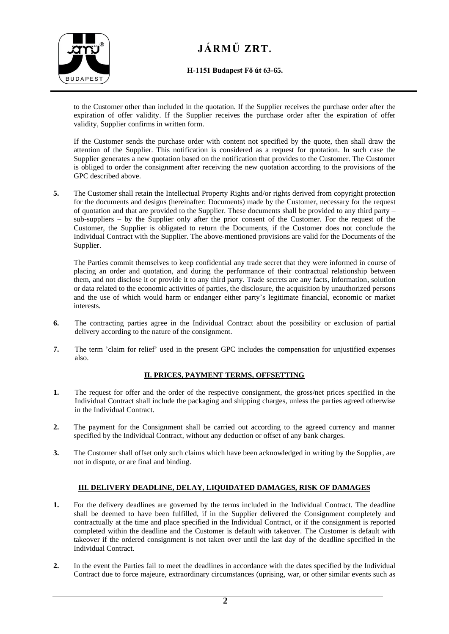

### **H-1151 Budapest Fő út 63-65.**

to the Customer other than included in the quotation. If the Supplier receives the purchase order after the expiration of offer validity. If the Supplier receives the purchase order after the expiration of offer validity, Supplier confirms in written form.

If the Customer sends the purchase order with content not specified by the quote, then shall draw the attention of the Supplier. This notification is considered as a request for quotation. In such case the Supplier generates a new quotation based on the notification that provides to the Customer. The Customer is obliged to order the consignment after receiving the new quotation according to the provisions of the GPC described above.

**5.** The Customer shall retain the Intellectual Property Rights and/or rights derived from copyright protection for the documents and designs (hereinafter: Documents) made by the Customer, necessary for the request of quotation and that are provided to the Supplier. These documents shall be provided to any third party – sub-suppliers – by the Supplier only after the prior consent of the Customer. For the request of the Customer, the Supplier is obligated to return the Documents, if the Customer does not conclude the Individual Contract with the Supplier. The above-mentioned provisions are valid for the Documents of the Supplier.

The Parties commit themselves to keep confidential any trade secret that they were informed in course of placing an order and quotation, and during the performance of their contractual relationship between them, and not disclose it or provide it to any third party. Trade secrets are any facts, information, solution or data related to the economic activities of parties, the disclosure, the acquisition by unauthorized persons and the use of which would harm or endanger either party's legitimate financial, economic or market interests.

- **6.** The contracting parties agree in the Individual Contract about the possibility or exclusion of partial delivery according to the nature of the consignment.
- **7.** The term 'claim for relief' used in the present GPC includes the compensation for unjustified expenses also.

### **II. PRICES, PAYMENT TERMS, OFFSETTING**

- **1.** The request for offer and the order of the respective consignment, the gross/net prices specified in the Individual Contract shall include the packaging and shipping charges, unless the parties agreed otherwise in the Individual Contract.
- **2.** The payment for the Consignment shall be carried out according to the agreed currency and manner specified by the Individual Contract, without any deduction or offset of any bank charges.
- **3.** The Customer shall offset only such claims which have been acknowledged in writing by the Supplier, are not in dispute, or are final and binding.

### **III. DELIVERY DEADLINE, DELAY, LIQUIDATED DAMAGES, RISK OF DAMAGES**

- **1.** For the delivery deadlines are governed by the terms included in the Individual Contract. The deadline shall be deemed to have been fulfilled, if in the Supplier delivered the Consignment completely and contractually at the time and place specified in the Individual Contract, or if the consignment is reported completed within the deadline and the Customer is default with takeover. The Customer is default with takeover if the ordered consignment is not taken over until the last day of the deadline specified in the Individual Contract.
- **2.** In the event the Parties fail to meet the deadlines in accordance with the dates specified by the Individual Contract due to force majeure, extraordinary circumstances (uprising, war, or other similar events such as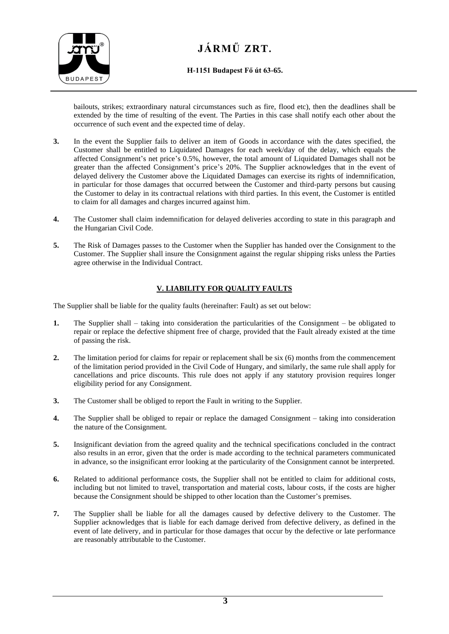

**H-1151 Budapest Fő út 63-65.**

bailouts, strikes; extraordinary natural circumstances such as fire, flood etc), then the deadlines shall be extended by the time of resulting of the event. The Parties in this case shall notify each other about the occurrence of such event and the expected time of delay.

- **3.** In the event the Supplier fails to deliver an item of Goods in accordance with the dates specified, the Customer shall be entitled to Liquidated Damages for each week/day of the delay, which equals the affected Consignment's net price's 0.5%, however, the total amount of Liquidated Damages shall not be greater than the affected Consignment's price's 20%. The Supplier acknowledges that in the event of delayed delivery the Customer above the Liquidated Damages can exercise its rights of indemnification, in particular for those damages that occurred between the Customer and third-party persons but causing the Customer to delay in its contractual relations with third parties. In this event, the Customer is entitled to claim for all damages and charges incurred against him.
- **4.** The Customer shall claim indemnification for delayed deliveries according to state in this paragraph and the Hungarian Civil Code.
- **5.** The Risk of Damages passes to the Customer when the Supplier has handed over the Consignment to the Customer. The Supplier shall insure the Consignment against the regular shipping risks unless the Parties agree otherwise in the Individual Contract.

## **V. LIABILITY FOR QUALITY FAULTS**

The Supplier shall be liable for the quality faults (hereinafter: Fault) as set out below:

- **1.** The Supplier shall taking into consideration the particularities of the Consignment be obligated to repair or replace the defective shipment free of charge, provided that the Fault already existed at the time of passing the risk.
- **2.** The limitation period for claims for repair or replacement shall be six (6) months from the commencement of the limitation period provided in the Civil Code of Hungary, and similarly, the same rule shall apply for cancellations and price discounts. This rule does not apply if any statutory provision requires longer eligibility period for any Consignment.
- **3.** The Customer shall be obliged to report the Fault in writing to the Supplier.
- **4.** The Supplier shall be obliged to repair or replace the damaged Consignment taking into consideration the nature of the Consignment.
- **5.** Insignificant deviation from the agreed quality and the technical specifications concluded in the contract also results in an error, given that the order is made according to the technical parameters communicated in advance, so the insignificant error looking at the particularity of the Consignment cannot be interpreted.
- **6.** Related to additional performance costs, the Supplier shall not be entitled to claim for additional costs, including but not limited to travel, transportation and material costs, labour costs, if the costs are higher because the Consignment should be shipped to other location than the Customer's premises.
- **7.** The Supplier shall be liable for all the damages caused by defective delivery to the Customer. The Supplier acknowledges that is liable for each damage derived from defective delivery, as defined in the event of late delivery, and in particular for those damages that occur by the defective or late performance are reasonably attributable to the Customer.